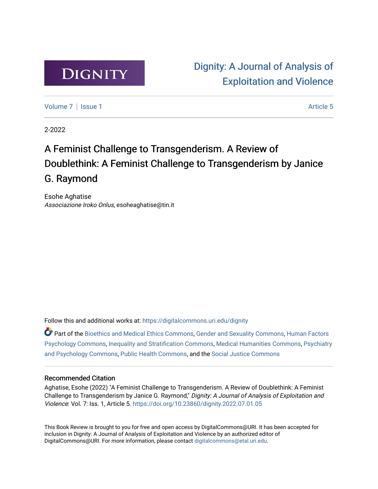

[Dignity: A Journal of Analysis of](https://digitalcommons.uri.edu/dignity)  [Exploitation and Violence](https://digitalcommons.uri.edu/dignity) 

[Volume 7](https://digitalcommons.uri.edu/dignity/vol7) | [Issue 1](https://digitalcommons.uri.edu/dignity/vol7/iss1) Article 5

2-2022

## A Feminist Challenge to Transgenderism. A Review of Doublethink: A Feminist Challenge to Transgenderism by Janice G. Raymond

Esohe Aghatise Associazione Iroko Onlus, esoheaghatise@tin.it

Follow this and additional works at: [https://digitalcommons.uri.edu/dignity](https://digitalcommons.uri.edu/dignity?utm_source=digitalcommons.uri.edu%2Fdignity%2Fvol7%2Fiss1%2F5&utm_medium=PDF&utm_campaign=PDFCoverPages) 

Part of the [Bioethics and Medical Ethics Commons,](http://network.bepress.com/hgg/discipline/650?utm_source=digitalcommons.uri.edu%2Fdignity%2Fvol7%2Fiss1%2F5&utm_medium=PDF&utm_campaign=PDFCoverPages) [Gender and Sexuality Commons](http://network.bepress.com/hgg/discipline/420?utm_source=digitalcommons.uri.edu%2Fdignity%2Fvol7%2Fiss1%2F5&utm_medium=PDF&utm_campaign=PDFCoverPages), [Human Factors](http://network.bepress.com/hgg/discipline/1412?utm_source=digitalcommons.uri.edu%2Fdignity%2Fvol7%2Fiss1%2F5&utm_medium=PDF&utm_campaign=PDFCoverPages)  [Psychology Commons,](http://network.bepress.com/hgg/discipline/1412?utm_source=digitalcommons.uri.edu%2Fdignity%2Fvol7%2Fiss1%2F5&utm_medium=PDF&utm_campaign=PDFCoverPages) [Inequality and Stratification Commons,](http://network.bepress.com/hgg/discipline/421?utm_source=digitalcommons.uri.edu%2Fdignity%2Fvol7%2Fiss1%2F5&utm_medium=PDF&utm_campaign=PDFCoverPages) [Medical Humanities Commons,](http://network.bepress.com/hgg/discipline/1303?utm_source=digitalcommons.uri.edu%2Fdignity%2Fvol7%2Fiss1%2F5&utm_medium=PDF&utm_campaign=PDFCoverPages) [Psychiatry](http://network.bepress.com/hgg/discipline/908?utm_source=digitalcommons.uri.edu%2Fdignity%2Fvol7%2Fiss1%2F5&utm_medium=PDF&utm_campaign=PDFCoverPages) [and Psychology Commons,](http://network.bepress.com/hgg/discipline/908?utm_source=digitalcommons.uri.edu%2Fdignity%2Fvol7%2Fiss1%2F5&utm_medium=PDF&utm_campaign=PDFCoverPages) [Public Health Commons,](http://network.bepress.com/hgg/discipline/738?utm_source=digitalcommons.uri.edu%2Fdignity%2Fvol7%2Fiss1%2F5&utm_medium=PDF&utm_campaign=PDFCoverPages) and the [Social Justice Commons](http://network.bepress.com/hgg/discipline/1432?utm_source=digitalcommons.uri.edu%2Fdignity%2Fvol7%2Fiss1%2F5&utm_medium=PDF&utm_campaign=PDFCoverPages) 

#### Recommended Citation

Aghatise, Esohe (2022) "A Feminist Challenge to Transgenderism. A Review of Doublethink: A Feminist Challenge to Transgenderism by Janice G. Raymond," Dignity: A Journal of Analysis of Exploitation and Violence: Vol. 7: Iss. 1, Article 5.<https://doi.org/10.23860/dignity.2022.07.01.05>

This Book Review is brought to you for free and open access by DigitalCommons@URI. It has been accepted for inclusion in Dignity: A Journal of Analysis of Exploitation and Violence by an authorized editor of DigitalCommons@URI. For more information, please contact [digitalcommons@etal.uri.edu.](mailto:digitalcommons@etal.uri.edu)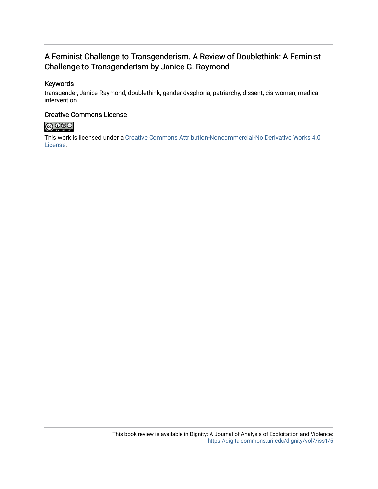## A Feminist Challenge to Transgenderism. A Review of Doublethink: A Feminist Challenge to Transgenderism by Janice G. Raymond

## Keywords

transgender, Janice Raymond, doublethink, gender dysphoria, patriarchy, dissent, cis-women, medical intervention

### Creative Commons License



This work is licensed under a [Creative Commons Attribution-Noncommercial-No Derivative Works 4.0](https://creativecommons.org/licenses/by-nc-nd/4.0/) [License](https://creativecommons.org/licenses/by-nc-nd/4.0/).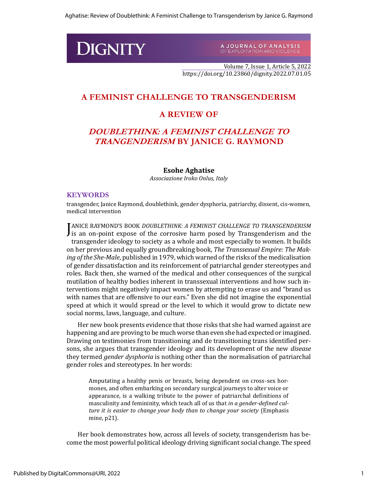# **DIGNITY**

A JOURNAL OF ANALYSIS<br>OF EXPLOITATION AND VIOLENCE

Volume 7, Issue 1, Article 5, 2022 https://doi.org/10.23860/dignity.2022.07.01.05

## **A FEMINIST CHALLENGE TO TRANSGENDERISM**

## **A REVIEW OF**

## **DOUBLETHINK: A FEMINIST CHALLENGE TO TRANGENDERISM BY JANICE G. RAYMOND**

#### **Esohe Aghatise**

*Associazione Iroko Onlus, Italy*

#### **KEYWORDS**

transgender, Janice Raymond, doublethink, gender dysphoria, patriarchy, dissent, cis-women, medical intervention

**J** ANICE RAYMOND'S BOOK *DOUBLETHINK: A FEMINIST CHALLENGE TO TRANSGENDERISM* is an on-point expose of the corrosive harm posed by Transgenderism and the **J** is an on-point expose of the corrosive harm posed by Transgenderism and the transgender ideology to society as a whole and most especially to women. It builds on her previous and equally groundbreaking book, *The Transsexual Empire: The Making of the She-Male*, published in 1979, which warned of the risks of the medicalisation of gender dissatisfaction and its reinforcement of patriarchal gender stereotypes and roles. Back then, she warned of the medical and other consequences of the surgical mutilation of healthy bodies inherent in transsexual interventions and how such interventions might negatively impact women by attempting to erase us and "brand us with names that are offensive to our ears." Even she did not imagine the exponential speed at which it would spread or the level to which it would grow to dictate new social norms, laws, language, and culture.

Her new book presents evidence that those risks that she had warned against are happening and are proving to be much worse than even she had expected or imagined. Drawing on testimonies from transitioning and de transitioning trans identified persons, she argues that transgender ideology and its development of the new *disease* they termed *gender dysphoria* is nothing other than the normalisation of patriarchal gender roles and stereotypes. In her words:

Amputating a healthy penis or breasts, being dependent on cross-sex hormones, and often embarking on secondary surgical journeys to alter voice or appearance, is a walking tribute to the power of patriarchal definitions of masculinity and femininity, which teach all of us that *in a gender-defined culture it is easier to change your body than to change your society* (Emphasis mine, p21).

Her book demonstrates how, across all levels of society, transgenderism has become the most powerful political ideology driving significant social change. The speed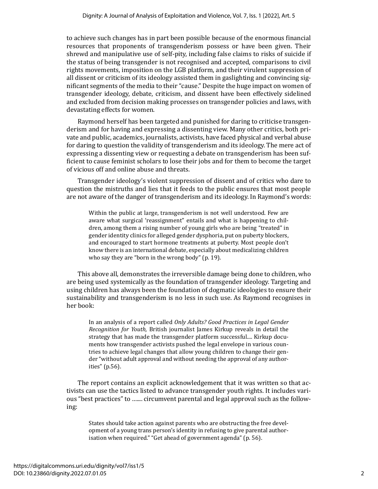to achieve such changes has in part been possible because of the enormous financial resources that proponents of transgenderism possess or have been given. Their shrewd and manipulative use of self-pity, including false claims to risks of suicide if the status of being transgender is not recognised and accepted, comparisons to civil rights movements, imposition on the LGB platform, and their virulent suppression of all dissent or criticism of its ideology assisted them in gaslighting and convincing significant segments of the media to their "cause." Despite the huge impact on women of transgender ideology, debate, criticism, and dissent have been effectively sidelined and excluded from decision making processes on transgender policies and laws, with devastating effects for women.

Raymond herself has been targeted and punished for daring to criticise transgenderism and for having and expressing a dissenting view. Many other critics, both private and public, academics, journalists, activists, have faced physical and verbal abuse for daring to question the validity of transgenderism and its ideology. The mere act of expressing a dissenting view or requesting a debate on transgenderism has been sufficient to cause feminist scholars to lose their jobs and for them to become the target of vicious off and online abuse and threats.

Transgender ideology's violent suppression of dissent and of critics who dare to question the mistruths and lies that it feeds to the public ensures that most people are not aware of the danger of transgenderism and its ideology. In Raymond's words:

Within the public at large, transgenderism is not well understood. Few are aware what surgical 'reassignment" entails and what is happening to children, among them a rising number of young girls who are being "treated" in gender identity clinics for alleged gender dysphoria, put on puberty blockers, and encouraged to start hormone treatments at puberty. Most people don't know there is an international debate, especially about medicalizing children who say they are "born in the wrong body" (p. 19).

This above all, demonstrates the irreversible damage being done to children, who are being used systemically as the foundation of transgender ideology. Targeting and using children has always been the foundation of dogmatic ideologies to ensure their sustainability and transgenderism is no less in such use. As Raymond recognises in her book:

In an analysis of a report called *Only Adults? Good Practices in Legal Gender Recognition for Youth,* British journalist James Kirkup reveals in detail the strategy that has made the transgender platform successful.... Kirkup documents how transgender activists pushed the legal envelope in various countries to achieve legal changes that allow young children to change their gender "without adult approval and without needing the approval of any authorities" (p.56).

The report contains an explicit acknowledgement that it was written so that activists can use the tactics listed to advance transgender youth rights. It includes various "best practices" to ….... circumvent parental and legal approval such as the following:

States should take action against parents who are obstructing the free development of a young trans person's identity in refusing to give parental authorisation when required." "Get ahead of government agenda" (p. 56).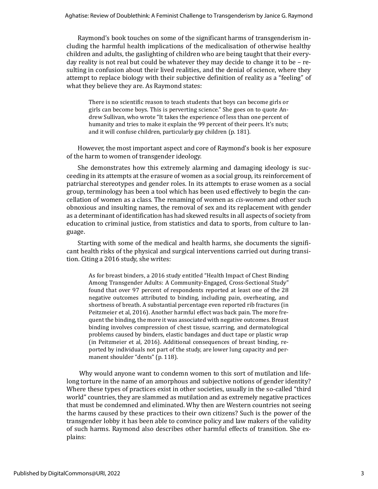Raymond's book touches on some of the significant harms of transgenderism including the harmful health implications of the medicalisation of otherwise healthy children and adults, the gaslighting of children who are being taught that their everyday reality is not real but could be whatever they may decide to change it to be – resulting in confusion about their lived realities, and the denial of science, where they attempt to replace biology with their subjective definition of reality as a "feeling" of what they believe they are. As Raymond states:

There is no scientific reason to teach students that boys can become girls or girls can become boys. This is perverting science." She goes on to quote Andrew Sullivan, who wrote "It takes the experience of less than one percent of humanity and tries to make it explain the 99 percent of their peers. It's nuts; and it will confuse children, particularly gay children (p. 181).

However, the most important aspect and core of Raymond's book is her exposure of the harm to women of transgender ideology.

She demonstrates how this extremely alarming and damaging ideology is succeeding in its attempts at the erasure of women as a social group, its reinforcement of patriarchal stereotypes and gender roles. In its attempts to erase women as a social group, terminology has been a tool which has been used effectively to begin the cancellation of women as a class. The renaming of women as *cis-women* and other such obnoxious and insulting names, the removal of sex and its replacement with gender as a determinant of identification has had skewed results in all aspects of society from education to criminal justice, from statistics and data to sports, from culture to language.

Starting with some of the medical and health harms, she documents the significant health risks of the physical and surgical interventions carried out during transition. Citing a 2016 study, she writes:

As for breast binders, a 2016 study entitled "Health Impact of Chest Binding Among Transgender Adults: A Community-Engaged, Cross-Sectional Study" found that over 97 percent of respondents reported at least one of the 28 negative outcomes attributed to binding, including pain, overheating, and shortness of breath. A substantial percentage even reported rib fractures (in Peitzmeier et al, 2016). Another harmful effect was back pain. The more frequent the binding, the more it was associated with negative outcomes. Breast binding involves compression of chest tissue, scarring, and dermatological problems caused by binders, elastic bandages and duct tape or plastic wrap (in Peitzmeier et al, 2016). Additional consequences of breast binding, reported by individuals not part of the study, are lower lung capacity and permanent shoulder "dents" (p. 118).

Why would anyone want to condemn women to this sort of mutilation and lifelong torture in the name of an amorphous and subjective notions of gender identity? Where these types of practices exist in other societies, usually in the so-called "third world" countries, they are slammed as mutilation and as extremely negative practices that must be condemned and eliminated. Why then are Western countries not seeing the harms caused by these practices to their own citizens? Such is the power of the transgender lobby it has been able to convince policy and law makers of the validity of such harms. Raymond also describes other harmful effects of transition. She explains: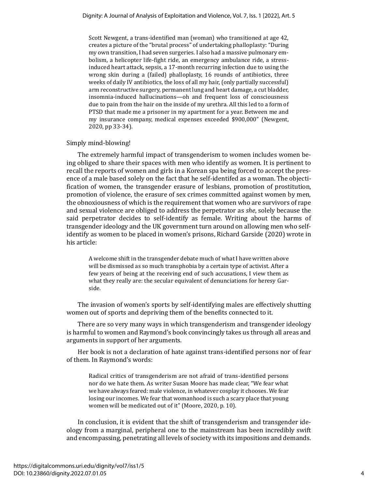Scott Newgent, a trans-identified man (woman) who transitioned at age 42, creates a picture of the "brutal process" of undertaking phalloplasty: "During my own transition, I had seven surgeries. I also had a massive pulmonary embolism, a helicopter life-fight ride, an emergency ambulance ride, a stressinduced heart attack, sepsis, a 17-month recurring infection due to using the wrong skin during a (failed) phalloplasty, 16 rounds of antibiotics, three weeks of daily IV antibiotics, the loss of all my hair, (only partially successful) arm reconstructive surgery, permanent lung and heart damage, a cut bladder, insomnia-induced hallucinations—oh and frequent loss of consciousness due to pain from the hair on the inside of my urethra. All this led to a form of PTSD that made me a prisoner in my apartment for a year. Between me and my insurance company, medical expenses exceeded \$900,000" (Newgent, 2020, pp 33-34).

#### Simply mind-blowing!

The extremely harmful impact of transgenderism to women includes women being obliged to share their spaces with men who identify as women. It is pertinent to recall the reports of women and girls in a Korean spa being forced to accept the presence of a male based solely on the fact that he self-identifed as a woman. The objectification of women, the transgender erasure of lesbians, promotion of prostitution, promotion of violence, the erasure of sex crimes committed against women by men, the obnoxiousness of which is the requirement that women who are survivors of rape and sexual violence are obliged to address the perpetrator as *she*, solely because the said perpetrator decides to self-identify as female. Writing about the harms of transgender ideology and the UK government turn around on allowing men who selfidentify as women to be placed in women's prisons, Richard Garside (2020) wrote in his article:

A welcome shift in the transgender debate much of what I have written above will be dismissed as so much transphobia by a certain type of activist. After a few years of being at the receiving end of such accusations, I view them as what they really are: the secular equivalent of denunciations for heresy Garside.

The invasion of women's sports by self-identifying males are effectively shutting women out of sports and depriving them of the benefits connected to it.

There are so very many ways in which transgenderism and transgender ideology is harmful to women and Raymond's book convincingly takes us through all areas and arguments in support of her arguments.

Her book is not a declaration of hate against trans-identified persons nor of fear of them. In Raymond's words:

Radical critics of transgenderism are not afraid of trans-identified persons nor do we hate them. As writer Susan Moore has made clear, "We fear what we have always feared: male violence, in whatever cosplay it chooses. We fear losing our incomes. We fear that womanhood is such a scary place that young women will be medicated out of it" (Moore, 2020, p. 10).

In conclusion, it is evident that the shift of transgenderism and transgender ideology from a marginal, peripheral one to the mainstream has been incredibly swift and encompassing, penetrating all levels of society with its impositions and demands.